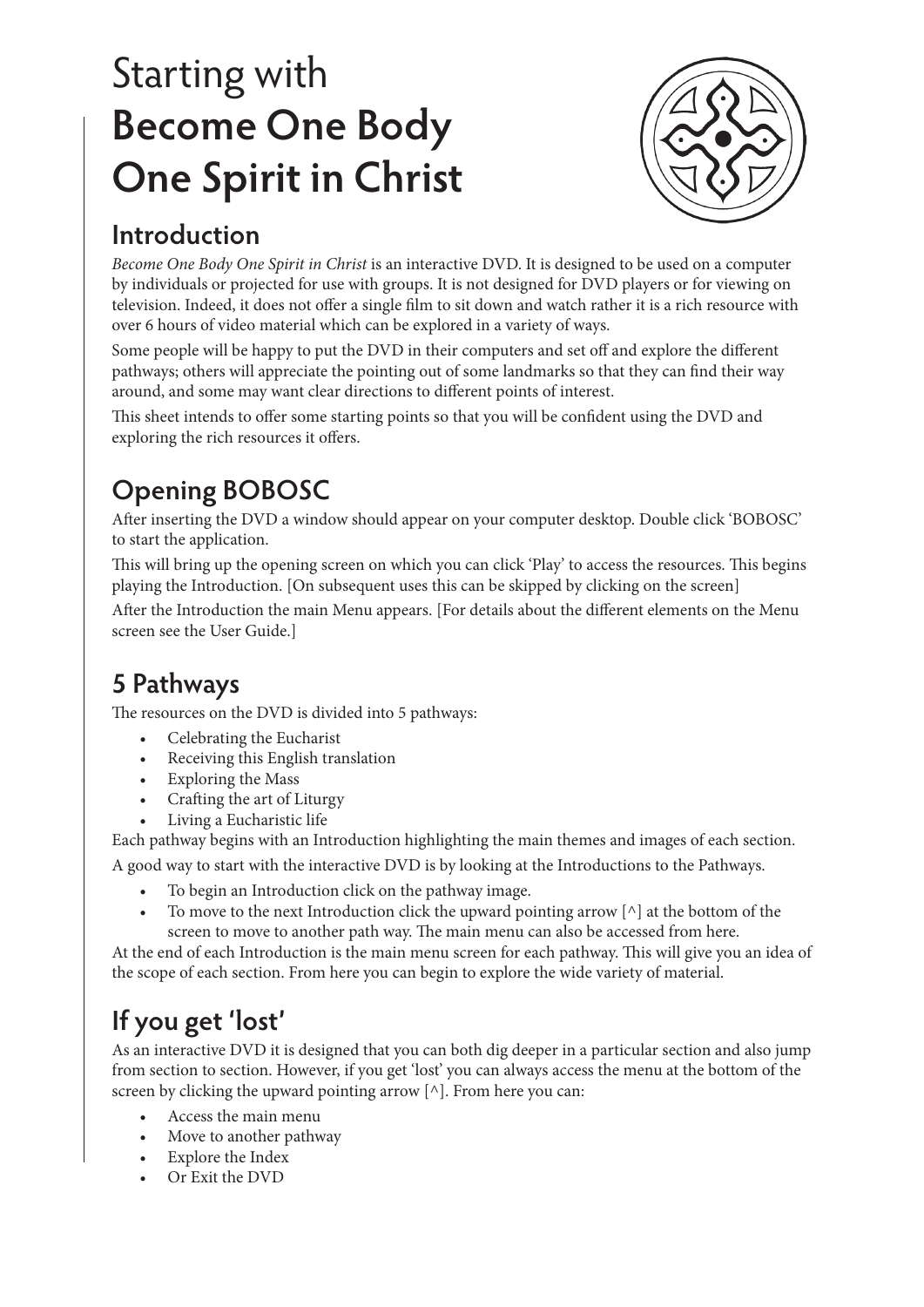# Starting with **Become One Body One Spirit in Christ**



## **Introduction**

*Become One Body One Spirit in Christ* is an interactive DVD. It is designed to be used on a computer by individuals or projected for use with groups. It is not designed for DVD players or for viewing on television. Indeed, it does not offer a single film to sit down and watch rather it is a rich resource with over 6 hours of video material which can be explored in a variety of ways.

Some people will be happy to put the DVD in their computers and set off and explore the different pathways; others will appreciate the pointing out of some landmarks so that they can find their way around, and some may want clear directions to different points of interest.

This sheet intends to offer some starting points so that you will be confident using the DVD and exploring the rich resources it offers.

# **Opening BOBOSC**

After inserting the DVD a window should appear on your computer desktop. Double click 'BOBOSC' to start the application.

This will bring up the opening screen on which you can click 'Play' to access the resources. This begins playing the Introduction. [On subsequent uses this can be skipped by clicking on the screen]

After the Introduction the main Menu appears. [For details about the different elements on the Menu screen see the User Guide.]

# **5 Pathways**

The resources on the DVD is divided into 5 pathways:

- Celebrating the Eucharist
- Receiving this English translation
- • Exploring the Mass
- **Crafting the art of Liturgy**
- Living a Eucharistic life

Each pathway begins with an Introduction highlighting the main themes and images of each section.

A good way to start with the interactive DVD is by looking at the Introductions to the Pathways.

- To begin an Introduction click on the pathway image.
- To move to the next Introduction click the upward pointing arrow  $[\wedge]$  at the bottom of the screen to move to another path way. The main menu can also be accessed from here.

At the end of each Introduction is the main menu screen for each pathway. This will give you an idea of the scope of each section. From here you can begin to explore the wide variety of material.

## **If you get 'lost'**

As an interactive DVD it is designed that you can both dig deeper in a particular section and also jump from section to section. However, if you get 'lost' you can always access the menu at the bottom of the screen by clicking the upward pointing arrow [^]. From here you can:

- Access the main menu
- Move to another pathway
- **Explore the Index**
- • Or Exit the DVD